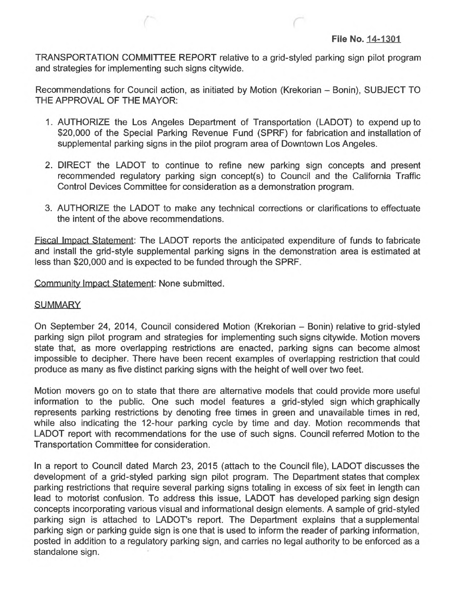TRANSPORTATION COMMITTEE REPORT relative to a grid-styled parking sign pilot program and strategies for implementing such signs citywide.

Recommendations for Council action, as initiated by Motion (Krekorian - Bonin), SUBJECT TO THE APPROVAL OF THE MAYOR:

- 1. AUTHORIZE the Los Angeles Department of Transportation (LADOT) to expend up to \$20,000 of the Special Parking Revenue Fund (SPRF) for fabrication and installation of supplemental parking signs in the pilot program area of Downtown Los Angeles.
- 2. DIRECT the LADOT to continue to refine new parking sign concepts and present recommended regulatory parking sign concept(s) to Council and the California Traffic Control Devices Committee for consideration as a demonstration program.
- 3. AUTHORIZE the LADOT to make any technical corrections or clarifications to effectuate the intent of the above recommendations.

Fiscal Impact Statement: The LADOT reports the anticipated expenditure of funds to fabricate and install the grid-style supplemental parking signs in the demonstration area is estimated at less than \$20,000 and is expected to be funded through the SPRF.

Community Impact Statement: None submitted.

## **SUMMARY**

On September 24, 2014, Council considered Motion (Krekorian - Bonin) relative to grid-styled parking sign pilot program and strategies for implementing such signs citywide. Motion movers state that, as more overlapping restrictions are enacted, parking signs can become almost impossible to decipher. There have been recent examples of overlapping restriction that could produce as many as five distinct parking signs with the height of well over two feet.

Motion movers go on to state that there are alternative models that could provide more useful information to the public. One such model features a grid-styled sign which graphically represents parking restrictions by denoting free times in green and unavailable times in red, while also indicating the 12-hour parking cycle by time and day. Motion recommends that LADOT report with recommendations for the use of such signs. Council referred Motion to the Transportation Committee for consideration.

In a report to Council dated March 23, 2015 (attach to the Council file), LADOT discusses the development of a grid-styled parking sign pilot program. The Department states that complex parking restrictions that require several parking signs totaling in excess of six feet in length can lead to motorist confusion. To address this issue, LADOT has developed parking sign design concepts incorporating various visual and informational design elements. A sample of grid-styled parking sign is attached to LADOT's report. The Department explains that a supplemental parking sign or parking guide sign is one that is used to inform the reader of parking information, posted in addition to a regulatory parking sign, and carries no legal authority to be enforced as a standalone sign.